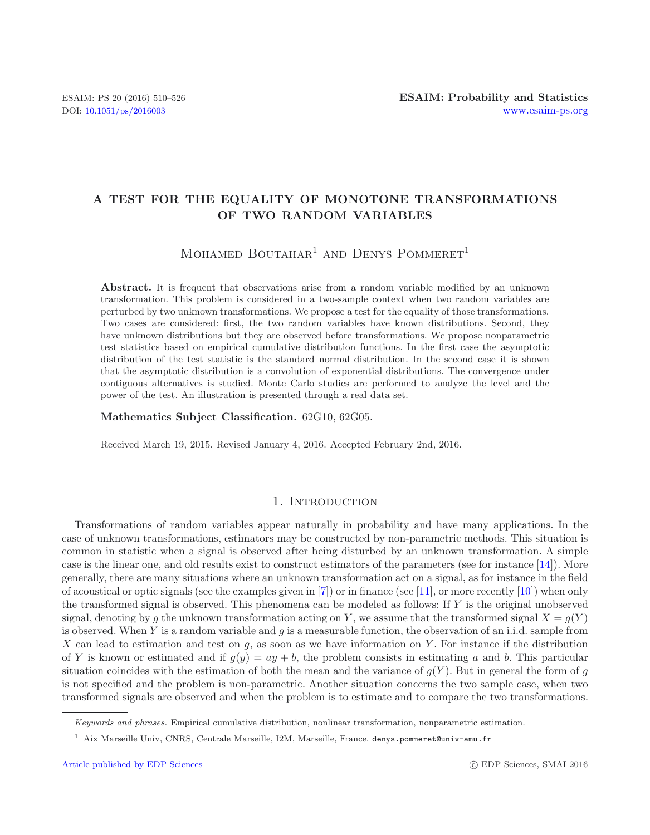# **A TEST FOR THE EQUALITY OF MONOTONE TRANSFORMATIONS OF TWO RANDOM VARIABLES**

# MOHAMED BOUTAHAR<sup>1</sup> AND DENYS POMMERET<sup>1</sup>

Abstract. It is frequent that observations arise from a random variable modified by an unknown transformation. This problem is considered in a two-sample context when two random variables are perturbed by two unknown transformations. We propose a test for the equality of those transformations. Two cases are considered: first, the two random variables have known distributions. Second, they have unknown distributions but they are observed before transformations. We propose nonparametric test statistics based on empirical cumulative distribution functions. In the first case the asymptotic distribution of the test statistic is the standard normal distribution. In the second case it is shown that the asymptotic distribution is a convolution of exponential distributions. The convergence under contiguous alternatives is studied. Monte Carlo studies are performed to analyze the level and the power of the test. An illustration is presented through a real data set.

#### **Mathematics Subject Classification.** 62G10, 62G05.

Received March 19, 2015. Revised January 4, 2016. Accepted February 2nd, 2016.

### 1. INTRODUCTION

Transformations of random variables appear naturally in probability and have many applications. In the case of unknown transformations, estimators may be constructed by non-parametric methods. This situation is common in statistic when a signal is observed after being disturbed by an unknown transformation. A simple case is the linear one, and old results exist to construct estimators of the parameters (see for instance [\[14](#page-16-0)]). More generally, there are many situations where an unknown transformation act on a signal, as for instance in the field of acoustical or optic signals (see the examples given in [\[7\]](#page-15-0)) or in finance (see [\[11\]](#page-15-1), or more recently [\[10](#page-15-2)]) when only the transformed signal is observed. This phenomena can be modeled as follows: If Y is the original unobserved signal, denoting by g the unknown transformation acting on Y, we assume that the transformed signal  $X = g(Y)$ is observed. When Y is a random variable and  $q$  is a measurable function, the observation of an i.i.d. sample from X can lead to estimation and test on  $g$ , as soon as we have information on Y. For instance if the distribution of Y is known or estimated and if  $g(y) = ay + b$ , the problem consists in estimating a and b. This particular situation coincides with the estimation of both the mean and the variance of  $g(Y)$ . But in general the form of g is not specified and the problem is non-parametric. Another situation concerns the two sample case, when two transformed signals are observed and when the problem is to estimate and to compare the two transformations.

*Keywords and phrases.* Empirical cumulative distribution, nonlinear transformation, nonparametric estimation.

 $^1\,$  Aix Marseille Univ, CNRS, Centrale Marseille, I2M, Marseille, France. denys.pommeret@univ-amu.fr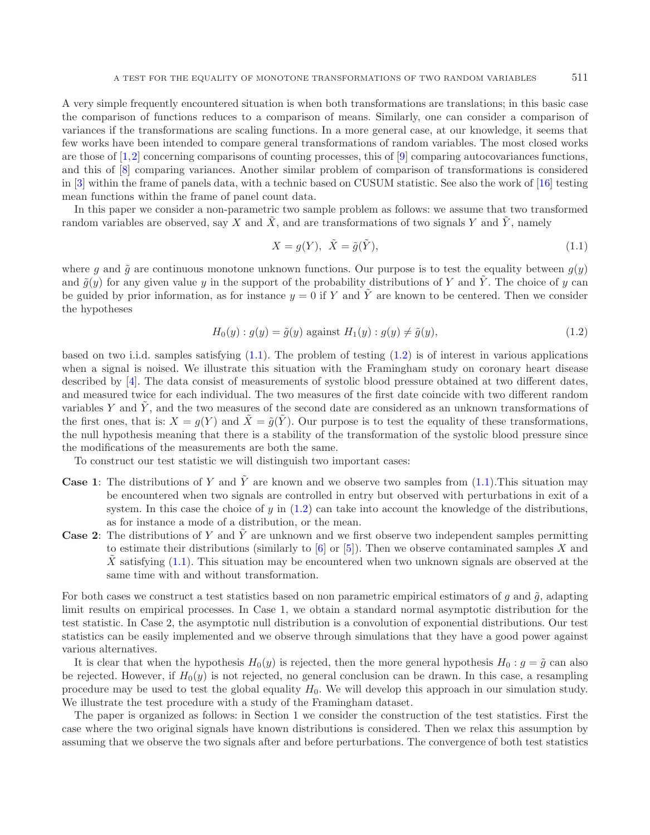A very simple frequently encountered situation is when both transformations are translations; in this basic case the comparison of functions reduces to a comparison of means. Similarly, one can consider a comparison of variances if the transformations are scaling functions. In a more general case, at our knowledge, it seems that few works have been intended to compare general transformations of random variables. The most closed works are those of  $[1,2]$  $[1,2]$  $[1,2]$  concerning comparisons of counting processes, this of  $[9]$  $[9]$  comparing autocovariances functions, and this of [\[8\]](#page-15-6) comparing variances. Another similar problem of comparison of transformations is considered in [\[3\]](#page-15-7) within the frame of panels data, with a technic based on CUSUM statistic. See also the work of [\[16\]](#page-16-1) testing mean functions within the frame of panel count data.

In this paper we consider a non-parametric two sample problem as follows: we assume that two transformed random variables are observed, say X and X, and are transformations of two signals Y and Y, namely

<span id="page-1-0"></span>
$$
X = g(Y), \quad \tilde{X} = \tilde{g}(\tilde{Y}), \tag{1.1}
$$

where g and  $\tilde{g}$  are continuous monotone unknown functions. Our purpose is to test the equality between  $g(y)$ and  $\tilde{g}(y)$  for any given value y in the support of the probability distributions of Y and Y. The choice of y can be guided by prior information, as for instance  $y = 0$  if Y and  $\tilde{Y}$  are known to be centered. Then we consider the hypotheses

$$
H_0(y) : g(y) = \tilde{g}(y) \text{ against } H_1(y) : g(y) \neq \tilde{g}(y),\tag{1.2}
$$

<span id="page-1-1"></span>based on two i.i.d. samples satisfying  $(1.1)$ . The problem of testing  $(1.2)$  is of interest in various applications when a signal is noised. We illustrate this situation with the Framingham study on coronary heart disease described by [\[4](#page-15-8)]. The data consist of measurements of systolic blood pressure obtained at two different dates, and measured twice for each individual. The two measures of the first date coincide with two different random variables Y and  $\tilde{Y}$ , and the two measures of the second date are considered as an unknown transformations of the first ones, that is:  $X = q(Y)$  and  $\tilde{X} = \tilde{q}(Y)$ . Our purpose is to test the equality of these transformations, the null hypothesis meaning that there is a stability of the transformation of the systolic blood pressure since the modifications of the measurements are both the same.

To construct our test statistic we will distinguish two important cases:

- **Case 1**: The distributions of Y and  $\tilde{Y}$  are known and we observe two samples from  $(1.1)$ . This situation may be encountered when two signals are controlled in entry but observed with perturbations in exit of a system. In this case the choice of  $y$  in  $(1.2)$  can take into account the knowledge of the distributions, as for instance a mode of a distribution, or the mean.
- **Case 2:** The distributions of Y and Y are unknown and we first observe two independent samples permitting to estimate their distributions (similarly to  $[6]$  $[6]$  or  $[5]$  $[5]$ ). Then we observe contaminated samples X and X satisfying  $(1.1)$ . This situation may be encountered when two unknown signals are observed at the same time with and without transformation.

For both cases we construct a test statistics based on non parametric empirical estimators of q and  $\tilde{q}$ , adapting limit results on empirical processes. In Case 1, we obtain a standard normal asymptotic distribution for the test statistic. In Case 2, the asymptotic null distribution is a convolution of exponential distributions. Our test statistics can be easily implemented and we observe through simulations that they have a good power against various alternatives.

It is clear that when the hypothesis  $H_0(y)$  is rejected, then the more general hypothesis  $H_0: g = \tilde{g}$  can also be rejected. However, if  $H_0(y)$  is not rejected, no general conclusion can be drawn. In this case, a resampling procedure may be used to test the global equality  $H_0$ . We will develop this approach in our simulation study. We illustrate the test procedure with a study of the Framingham dataset.

The paper is organized as follows: in Section 1 we consider the construction of the test statistics. First the case where the two original signals have known distributions is considered. Then we relax this assumption by assuming that we observe the two signals after and before perturbations. The convergence of both test statistics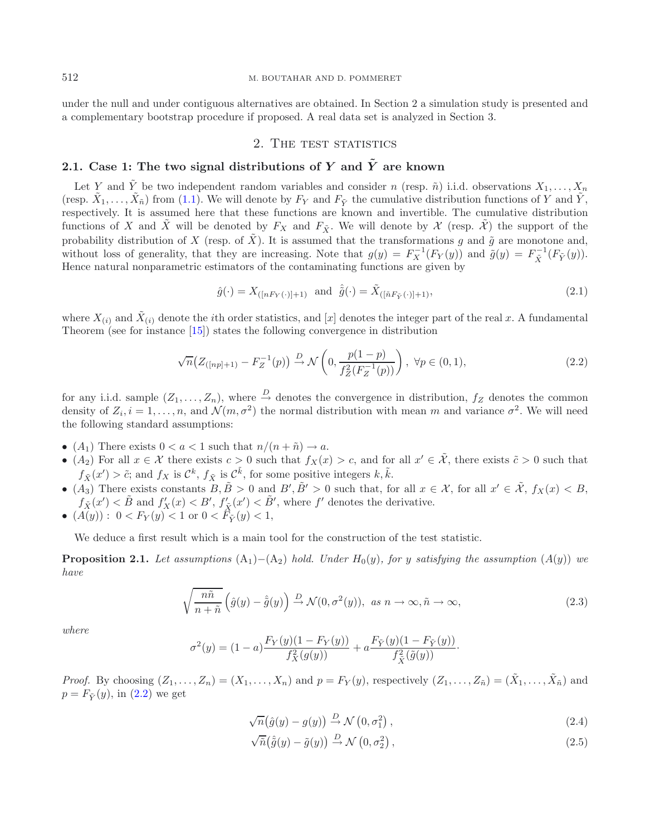under the null and under contiguous alternatives are obtained. In Section 2 a simulation study is presented and a complementary bootstrap procedure if proposed. A real data set is analyzed in Section 3.

#### 2. THE TEST STATISTICS

## **2.1.** Case 1: The two signal distributions of Y and  $\tilde{Y}$  are known

Let Y and  $\tilde{Y}$  be two independent random variables and consider n (resp.  $\tilde{n}$ ) i.i.d. observations  $X_1, \ldots, X_n$ (resp.  $\tilde{X}_1,\ldots,\tilde{X}_{\tilde{n}}$ ) from [\(1.1\)](#page-1-0). We will denote by  $F_Y$  and  $F_{\tilde{Y}}$  the cumulative distribution functions of Y and  $\tilde{Y}$ , respectively. It is assumed here that these functions are known and invertible. The cumulative distribution functions of X and X will be denoted by  $F_X$  and  $F_{\tilde{X}}$ . We will denote by X (resp. X) the support of the probability distribution of X (resp. of  $\tilde{X}$ ). It is assumed that the transformations g and  $\tilde{g}$  are monotone and, without loss of generality, that they are increasing. Note that  $g(y) = F_X^{-1}(F_Y(y))$  and  $\tilde{g}(y) = F_X^{-1}(F_Y(y))$ .<br>Hence natural nonparametric estimators of the contaminating functions are given by Hence natural nonparametric estimators of the contaminating functions are given by

<span id="page-2-3"></span>
$$
\hat{g}(\cdot) = X_{([nF_Y(\cdot)]+1)}
$$
 and  $\hat{\tilde{g}}(\cdot) = \tilde{X}_{([nF_{\tilde{Y}}(\cdot)]+1)},$ \n
$$
(2.1)
$$

where  $X_{(i)}$  and  $\tilde{X}_{(i)}$  denote the *i*th order statistics, and [x] denotes the integer part of the real x. A fundamental Theorem (see for instance [\[15\]](#page-16-2)) states the following convergence in distribution

<span id="page-2-4"></span>
$$
\sqrt{n}\left(Z_{([np]+1)} - F_Z^{-1}(p)\right) \xrightarrow{D} \mathcal{N}\left(0, \frac{p(1-p)}{f_Z^2(F_Z^{-1}(p))}\right), \ \forall p \in (0,1),\tag{2.2}
$$

<span id="page-2-0"></span>for any i.i.d. sample  $(Z_1, \ldots, Z_n)$ , where  $\stackrel{\sim}{\rightarrow}$  denotes the convergence in distribution,  $f_Z$  denotes the common<br>density of  $Z_i = 1$ ,  $\sum_{n=1}^{\infty} N(n-2)$  the normal distribution with mean m and variance  $z_i^2$ . We w density of  $Z_i$ ,  $i = 1, \ldots, n$ , and  $\mathcal{N}(m, \sigma^2)$  the normal distribution with mean m and variance  $\sigma^2$ . We will need the following standard assumptions:

- $(A_1)$  There exists  $0 < a < 1$  such that  $n/(n + \tilde{n}) \rightarrow a$ .
- $(A_2)$  For all  $x \in \mathcal{X}$  there exists  $c > 0$  such that  $f_X(x) > c$ , and for all  $x' \in \tilde{\mathcal{X}}$ , there exists  $\tilde{c} > 0$  such that  $f_{\tilde{X}}(x') > \tilde{c}$ ; and  $f_X$  is  $\mathcal{C}^k$ ,  $f_{\tilde{X}}$  is  $\mathcal{C}^k$ , for some positive integers  $k, \tilde{k}$ .<br>
(A) There exists constants  $B, \tilde{B} > 0$  and  $B'$ ,  $\tilde{B}' > 0$  such that for
- $(A_3)$  There exists constants  $B, \tilde{B} > 0$  and  $B', \tilde{B}' > 0$  such that, for all  $x \in \mathcal{X}$ , for all  $x' \in \tilde{\mathcal{X}}$ ,  $f_X(x) < B$ ,  $f_X(x) < B$ ,  $f_Y(x) < B'$ ,  $f_Y(x) < B'$ , where  $f'$  denotes the designative  $f_{\tilde{X}}(x') < \tilde{B}$  and  $f'_{X}(x) < B'$ ,  $f'_{\tilde{X}}(x') < \tilde{B}'$ , where f' denotes the derivative.<br>  $A(u)$ :  $0 < F_{Y}(u) < 1$  or  $0 < F_{\tilde{Y}}(u) < 1$ .
- $(A(y)) : 0 < F_Y(y) < 1$  or  $0 < \hat{F}_{\tilde{Y}}(y) < 1$ ,

We deduce a first result which is a main tool for the construction of the test statistic.

**Proposition 2.1.** *Let assumptions*  $(A_1) - (A_2)$  *hold. Under*  $H_0(y)$ *, for* y *satisfying the assumption*  $(A(y))$  *we have*

$$
\sqrt{\frac{n\tilde{n}}{n+\tilde{n}}} \left(\hat{g}(y)-\hat{g}(y)\right) \stackrel{D}{\to} \mathcal{N}(0,\sigma^2(y)), \text{ as } n \to \infty, \tilde{n} \to \infty,
$$
\n(2.3)

<span id="page-2-2"></span>*where*

$$
\sigma^{2}(y) = (1 - a) \frac{F_{Y}(y)(1 - F_{Y}(y))}{f_{X}^{2}(g(y))} + a \frac{F_{\tilde{Y}}(y)(1 - F_{\tilde{Y}}(y))}{f_{\tilde{X}}^{2}(\tilde{g}(y))}.
$$

*Proof.* By choosing  $(Z_1, \ldots, Z_n) = (X_1, \ldots, X_n)$  and  $p = F_Y(y)$ , respectively  $(Z_1, \ldots, Z_{\tilde{n}}) = (\tilde{X}_1, \ldots, \tilde{X}_{\tilde{n}})$  and  $p = F_{\tilde{Y}}(y)$ , in  $(2.2)$  we get

<span id="page-2-1"></span>
$$
\sqrt{n}(\hat{g}(y) - g(y)) \stackrel{D}{\rightarrow} \mathcal{N}(0, \sigma_1^2), \qquad (2.4)
$$

$$
\sqrt{\tilde{n}}(\hat{g}(y) - \tilde{g}(y)) \stackrel{D}{\rightarrow} \mathcal{N}(0, \sigma_2^2), \qquad (2.5)
$$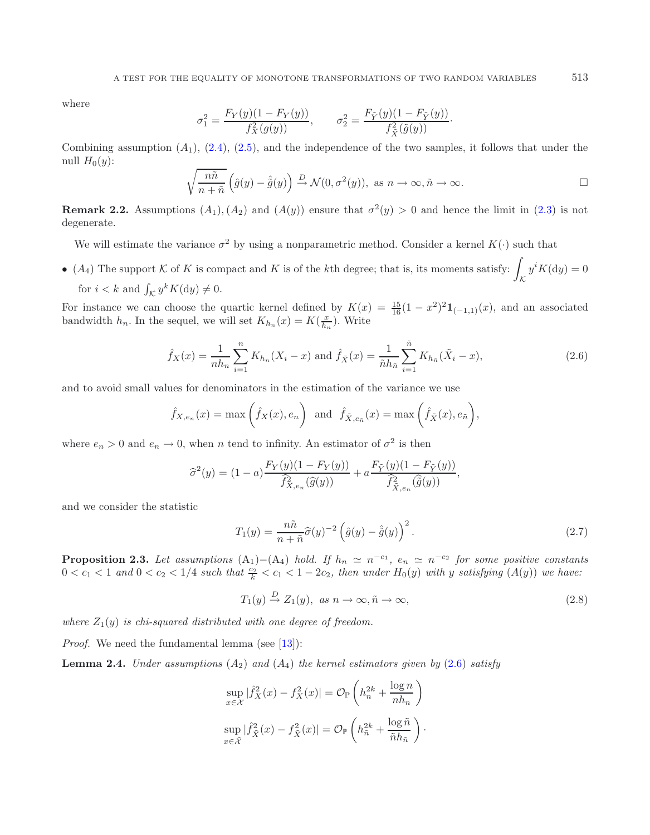where

$$
\sigma_1^2 = \frac{F_Y(y)(1 - F_Y(y))}{f_X^2(g(y))}, \qquad \sigma_2^2 = \frac{F_Y(y)(1 - F_Y(y))}{f_X^2(\tilde{g}(y))}.
$$

Combining assumption  $(A_1)$ ,  $(2.4)$ ,  $(2.5)$ , and the independence of the two samples, it follows that under the null  $H_0(y)$ :

$$
\sqrt{\frac{n\tilde{n}}{n+\tilde{n}}}\left(\hat{g}(y)-\hat{\tilde{g}}(y)\right)\stackrel{D}{\to}\mathcal{N}(0,\sigma^2(y)),\text{ as }n\to\infty,\tilde{n}\to\infty.
$$

**Remark 2.2.** Assumptions  $(A_1), (A_2)$  and  $(A(y))$  ensure that  $\sigma^2(y) > 0$  and hence the limit in [\(2.3\)](#page-2-2) is not degenerate.

We will estimate the variance  $\sigma^2$  by using a nonparametric method. Consider a kernel  $K(\cdot)$  such that

• (A<sub>4</sub>) The support K of K is compact and K is of the kth degree; that is, its moments satisfy:  $\int_{\mathcal{K}} y^i K(dy) = 0$ for  $i < k$  and  $\int_{\mathcal{K}} y^k K(dy) \neq 0$ .

For instance we can choose the quartic kernel defined by  $K(x) = \frac{15}{16}(1-x^2)^2 \mathbf{1}_{(-1,1)}(x)$ , and an associated bandwidth *b*. In the sequel we will set  $K_t$ ,  $(x) = K(\frac{x}{x})$ . Write bandwidth  $h_n$ . In the sequel, we will set  $K_{h_n}(x) = K(\frac{x}{h_n})$ . Write

$$
\hat{f}_X(x) = \frac{1}{nh_n} \sum_{i=1}^n K_{h_n}(X_i - x) \text{ and } \hat{f}_{\tilde{X}}(x) = \frac{1}{\tilde{n}h_{\tilde{n}}} \sum_{i=1}^{\tilde{n}} K_{h_{\tilde{n}}}(\tilde{X}_i - x), \tag{2.6}
$$

<span id="page-3-0"></span>and to avoid small values for denominators in the estimation of the variance we use

$$
\hat{f}_{X,e_n}(x) = \max\left(\hat{f}_X(x), e_n\right)
$$
 and  $\hat{f}_{\tilde{X},e_{\tilde{n}}}(x) = \max\left(\hat{f}_{\tilde{X}}(x), e_{\tilde{n}}\right)$ ,

where  $e_n > 0$  and  $e_n \to 0$ , when n tend to infinity. An estimator of  $\sigma^2$  is then

<span id="page-3-3"></span><span id="page-3-1"></span>
$$
\widehat{\sigma}^{2}(y) = (1 - a) \frac{F_{Y}(y)(1 - F_{Y}(y))}{\widehat{f}_{X, e_{n}}^{2}(\widehat{g}(y))} + a \frac{F_{\tilde{Y}}(y)(1 - F_{\tilde{Y}}(y))}{\widehat{f}_{\tilde{X}, e_{n}}^{2}(\widehat{g}(y))},
$$

and we consider the statistic

$$
T_1(y) = \frac{n\tilde{n}}{n+\tilde{n}} \hat{\sigma}(y)^{-2} \left(\hat{g}(y) - \hat{\tilde{g}}(y)\right)^2.
$$
 (2.7)

<span id="page-3-4"></span>**Proposition 2.3.** *Let assumptions*  $(A_1) - (A_4)$  *hold. If*  $h_n \simeq n^{-c_1}$ ,  $e_n \simeq n^{-c_2}$  *for some positive constants*  $0 < c_1 < 1$  and  $0 < c_2 < 1/4$  such that  $\frac{c_2}{k} < c_1 < 1 - 2c_2$ , then under  $H_0(y)$  with y satisfying  $(A(y))$  we have:

<span id="page-3-2"></span>
$$
T_1(y) \stackrel{D}{\to} Z_1(y), \text{ as } n \to \infty, \tilde{n} \to \infty,
$$
\n(2.8)

*where*  $Z_1(y)$  *is chi-squared distributed with one degree of freedom.* 

*Proof.* We need the fundamental lemma (see [\[13\]](#page-16-3)):

**Lemma 2.4.** *Under assumptions*  $(A_2)$  *and*  $(A_4)$  *the kernel estimators given by* [\(2.6\)](#page-3-0) *satisfy* 

$$
\sup_{x \in \mathcal{X}} |\hat{f}_X^2(x) - f_X^2(x)| = \mathcal{O}_{\mathbb{P}}\left(h_n^{2k} + \frac{\log n}{nh_n}\right)
$$

$$
\sup_{x \in \tilde{\mathcal{X}}} |\hat{f}_{\tilde{X}}^2(x) - f_{\tilde{X}}^2(x)| = \mathcal{O}_{\mathbb{P}}\left(h_{\tilde{n}}^{2k} + \frac{\log \tilde{n}}{\tilde{n}h_{\tilde{n}}}\right).
$$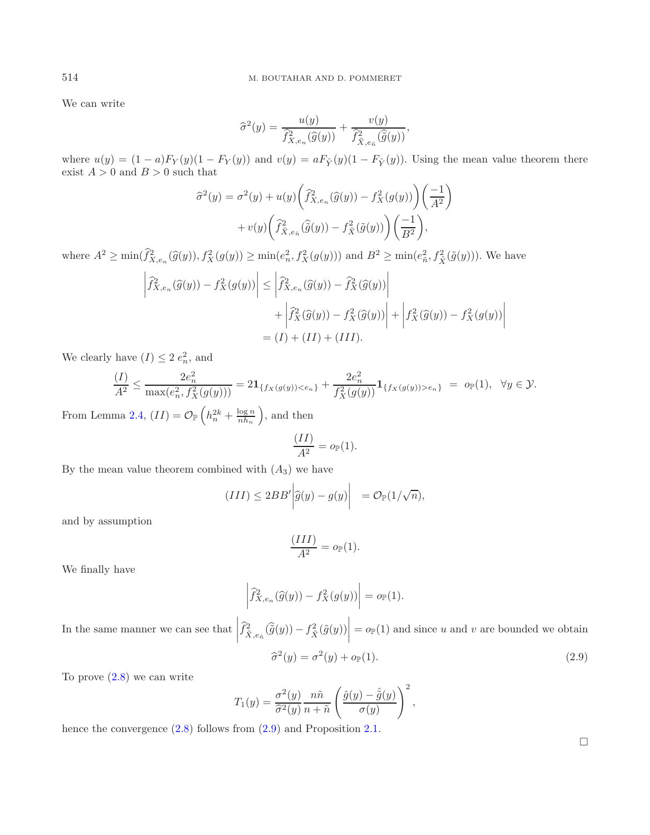We can write

$$
\widehat{\sigma}^2(y) = \frac{u(y)}{\widehat{f}_{X,e_n}^2(\widehat{g}(y))} + \frac{v(y)}{\widehat{f}_{\tilde{X},e_{\tilde{n}}}^2(\widehat{\widehat{g}}(y))},
$$

where  $u(y) = (1 - a)F_Y(y)(1 - F_Y(y))$  and  $v(y) = aF_Y(y)(1 - F_Y(y))$ . Using the mean value theorem there exist  $A > 0$  and  $B > 0$  such that

$$
\widehat{\sigma}^2(y) = \sigma^2(y) + u(y) \left( \widehat{f}_{X, e_n}^2(\widehat{g}(y)) - f_X^2(g(y)) \right) \left( \frac{-1}{A^2} \right) \n+ v(y) \left( \widehat{f}_{\tilde{X}, e_{\tilde{n}}}^2(\widehat{g}(y)) - f_{\tilde{X}}^2(\tilde{g}(y)) \right) \left( \frac{-1}{B^2} \right),
$$

where  $A^2 \ge \min(f_{X, e_n}^2(\hat{g}(y)), f_X^2(g(y)) \ge \min(e_n^2, f_X^2(g(y)))$  and  $B^2 \ge \min(e_n^2, f_{\tilde{X}}^2(\tilde{g}(y)))$ . We have

$$
\left| \widehat{f}_{X,e_n}^2(\widehat{g}(y)) - f_X^2(g(y)) \right| \le \left| \widehat{f}_{X,e_n}^2(\widehat{g}(y)) - \widehat{f}_X^2(\widehat{g}(y)) \right|
$$

$$
+ \left| \widehat{f}_X^2(\widehat{g}(y)) - f_X^2(\widehat{g}(y)) \right| + \left| f_X^2(\widehat{g}(y)) - f_X^2(g(y)) \right|
$$

$$
= (I) + (II) + (III).
$$

We clearly have  $(I) \leq 2 e_n^2$ , and

$$
\frac{(I)}{A^2} \le \frac{2e_n^2}{\max(e_n^2, f_X^2(g(y)))} = 2\mathbf{1}_{\{f_X(g(y)) < e_n\}} + \frac{2e_n^2}{f_X^2(g(y))}\mathbf{1}_{\{f_X(g(y)) > e_n\}} = o_{\mathbb{P}}(1), \ \ \forall y \in \mathcal{Y}.
$$

From Lemma [2.4,](#page-3-1)  $(II) = \mathcal{O}_{\mathbb{P}}\left(h_n^{2k} + \frac{\log n}{nh_n}\right)$ , and then

$$
\frac{(II)}{A^2} = o_{\mathbb{P}}(1).
$$

By the mean value theorem combined with  $(A_3)$  we have

$$
(III) \leq 2BB'\left|\hat{g}(y) - g(y)\right| = \mathcal{O}_{\mathbb{P}}(1/\sqrt{n}),
$$

and by assumption

$$
\frac{(III)}{A^2} = o_{\mathbb{P}}(1).
$$

We finally have

$$
\left| \widehat{f}_{X,e_n}^2(\widehat{g}(y)) - f_X^2(g(y)) \right| = o_{\mathbb{P}}(1).
$$

In the same manner we can see that  $f_{\tilde{X},e_{\tilde{n}}}^2(\tilde{g}(y))-f_{\tilde{X}}^2(\tilde{g}(y))$  $= o_{\mathbb{P}}(1)$  and since u and v are bounded we obtain

$$
\widehat{\sigma}^2(y) = \sigma^2(y) + o_{\mathbb{P}}(1). \tag{2.9}
$$

To prove [\(2.8\)](#page-3-2) we can write

<span id="page-4-0"></span>
$$
T_1(y) = \frac{\sigma^2(y)}{\widehat{\sigma}^2(y)} \frac{n\tilde{n}}{n+\tilde{n}} \left( \frac{\hat{g}(y) - \hat{\tilde{g}}(y)}{\sigma(y)} \right)^2,
$$

hence the convergence  $(2.8)$  follows from  $(2.9)$  and Proposition [2.1.](#page-2-3)

 $\Box$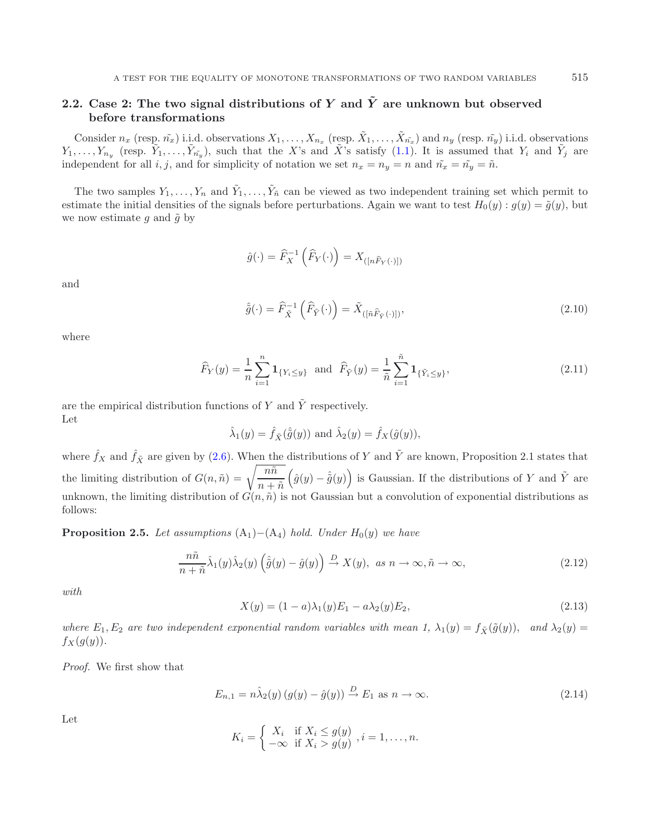## **2.2.** Case 2: The two signal distributions of Y and  $\tilde{Y}$  are unknown but observed **before transformations**

Consider  $n_x$  (resp.  $\tilde{n_x}$ ) i.i.d. observations  $X_1, \ldots, X_{n_x}$  (resp.  $\tilde{X}_1, \ldots, \tilde{X}_{n_x}$ ) and  $n_y$  (resp.  $\tilde{n_y}$ ) i.i.d. observations  $Y_1,\ldots,Y_{n_y}$  (resp.  $\tilde{Y}_1,\ldots,\tilde{Y}_{n_y}$ ), such that the X's and  $\tilde{X}$ 's satisfy [\(1.1\)](#page-1-0). It is assumed that  $Y_i$  and  $\tilde{Y}_j$  are independent for all i, j, and for simplicity of notation we set  $n_x = n_y = n$  and  $\tilde{n_x} = \tilde{n_y} = \tilde{n}$ .

The two samples  $Y_1,\ldots,Y_n$  and  $\tilde{Y}_1,\ldots,\tilde{Y}_n$  can be viewed as two independent training set which permit to estimate the initial densities of the signals before perturbations. Again we want to test  $H_0(y)$ :  $g(y)=\tilde{g}(y)$ , but we now estimate g and  $\tilde{g}$  by

$$
\hat{g}(\cdot) = \hat{F}_X^{-1}\left(\hat{F}_Y(\cdot)\right) = X_{\left(\left[n\hat{F}_Y(\cdot)\right]\right)}
$$

and

$$
\hat{\tilde{g}}(\cdot) = \hat{F}_{\tilde{X}}^{-1} \left( \hat{F}_{\tilde{Y}}(\cdot) \right) = \tilde{X}_{\left( [\tilde{n}\tilde{F}_{\tilde{Y}}(\cdot)] \right)},\tag{2.10}
$$

<span id="page-5-2"></span>where

<span id="page-5-4"></span>
$$
\widehat{F}_Y(y) = \frac{1}{n} \sum_{i=1}^n \mathbf{1}_{\{Y_i \le y\}} \text{ and } \widehat{F}_{\tilde{Y}}(y) = \frac{1}{\tilde{n}} \sum_{i=1}^{\tilde{n}} \mathbf{1}_{\{\tilde{Y}_i \le y\}},
$$
\n(2.11)

<span id="page-5-3"></span>are the empirical distribution functions of Y and  $\tilde{Y}$  respectively. Let

$$
\hat{\lambda}_1(y) = \hat{f}_{\tilde{X}}(\hat{g}(y))
$$
 and 
$$
\hat{\lambda}_2(y) = \hat{f}_X(\hat{g}(y)),
$$

where  $\hat{f}_X$  and  $\hat{f}_{\tilde{X}}$  are given by [\(2.6\)](#page-3-0). When the distributions of Y and  $\tilde{Y}$  are known, Proposition 2.1 states that the limiting distribution of  $G(n, \tilde{n}) = \sqrt{\frac{n\tilde{n}}{n+\tilde{n}}}$  $(\hat{g}(y) - \hat{g}(y))$  is Gaussian. If the distributions of Y and  $\tilde{Y}$  are unknown, the limiting distribution of  $G(n, \tilde{n})$  is not Gaussian but a convolution of exponential distributions as follows:

**Proposition 2.5.** *Let assumptions*  $(A_1) - (A_4)$  *hold. Under*  $H_0(y)$  *we have* 

$$
\frac{n\tilde{n}}{n+\tilde{n}}\hat{\lambda}_1(y)\hat{\lambda}_2(y)\left(\hat{g}(y)-\hat{g}(y)\right)\stackrel{D}{\to}X(y),\ \text{as}\ n\to\infty,\tilde{n}\to\infty,
$$
\n(2.12)

<span id="page-5-1"></span>*with*

$$
X(y) = (1 - a)\lambda_1(y)E_1 - a\lambda_2(y)E_2,
$$
\n(2.13)

*where*  $E_1, E_2$  *are two independent exponential random variables with mean 1,*  $\lambda_1(y) = f_{\tilde{X}}(\tilde{g}(y))$ , *and*  $\lambda_2(y) =$  $f_X(g(y))$ .

<span id="page-5-0"></span>*Proof.* We first show that

$$
E_{n,1} = n\hat{\lambda}_2(y) \left( g(y) - \hat{g}(y) \right) \stackrel{D}{\to} E_1 \text{ as } n \to \infty.
$$
 (2.14)

Let

$$
K_i = \begin{cases} X_i & \text{if } X_i \le g(y) \\ -\infty & \text{if } X_i > g(y) \end{cases}, i = 1, \dots, n.
$$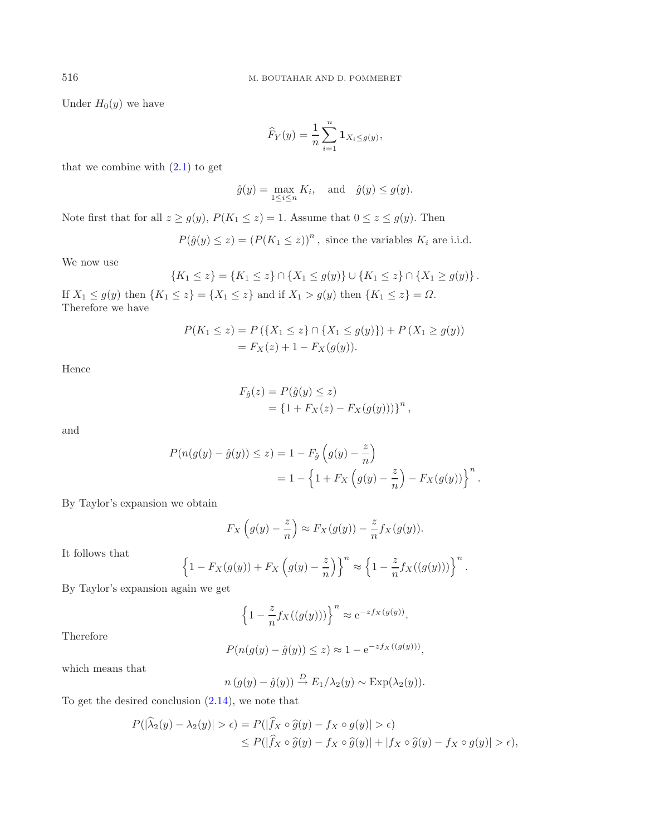Under  $H_0(y)$  we have

$$
\widehat{F}_Y(y) = \frac{1}{n} \sum_{i=1}^n \mathbf{1}_{X_i \le g(y)},
$$

that we combine with  $(2.1)$  to get

$$
\hat{g}(y) = \max_{1 \le i \le n} K_i
$$
, and  $\hat{g}(y) \le g(y)$ .

Note first that for all  $z \ge g(y)$ ,  $P(K_1 \le z) = 1$ . Assume that  $0 \le z \le g(y)$ . Then

$$
P(\hat{g}(y) \leq z) = (P(K_1 \leq z))^n
$$
, since the variables  $K_i$  are i.i.d.

We now use

$$
\{K_1 \le z\} = \{K_1 \le z\} \cap \{X_1 \le g(y)\} \cup \{K_1 \le z\} \cap \{X_1 \ge g(y)\}.
$$

If  $X_1 \le g(y)$  then  $\{K_1 \le z\} = \{X_1 \le z\}$  and if  $X_1 > g(y)$  then  $\{K_1 \le z\} = \Omega$ . Therefore we have

$$
P(K_1 \le z) = P(\lbrace X_1 \le z \rbrace \cap \lbrace X_1 \le g(y) \rbrace) + P(X_1 \ge g(y))
$$
  
=  $F_X(z) + 1 - F_X(g(y)).$ 

Hence

$$
F_{\hat{g}}(z) = P(\hat{g}(y) \le z) = \{1 + F_X(z) - F_X(g(y)))\}^n,
$$

and

$$
P(n(g(y) - \hat{g}(y)) \le z) = 1 - F_{\hat{g}}\left(g(y) - \frac{z}{n}\right)
$$
  
= 1 - \left\{1 + F\_X\left(g(y) - \frac{z}{n}\right) - F\_X(g(y))\right\}^n.

By Taylor's expansion we obtain

$$
F_X\left(g(y)-\frac{z}{n}\right) \approx F_X(g(y)) - \frac{z}{n}f_X(g(y)).
$$

It follows that

$$
\left\{1 - F_X(g(y)) + F_X\left(g(y) - \frac{z}{n}\right)\right\}^n \approx \left\{1 - \frac{z}{n}f_X((g(y)))\right\}^n.
$$

By Taylor's expansion again we get

$$
\left\{1 - \frac{z}{n} f_X((g(y)))\right\}^n \approx e^{-z f_X(g(y))}.
$$

Therefore

$$
P(n(g(y) - \hat{g}(y)) \le z) \approx 1 - e^{-zf_X((g(y)))},
$$

which means that

$$
n (g(y) - \hat{g}(y)) \stackrel{D}{\rightarrow} E_1/\lambda_2(y) \sim \text{Exp}(\lambda_2(y)).
$$

To get the desired conclusion [\(2.14\)](#page-5-0), we note that

$$
P(|\widehat{\lambda}_2(y) - \lambda_2(y)| > \epsilon) = P(|\widehat{f}_X \circ \widehat{g}(y) - f_X \circ g(y)| > \epsilon)
$$
  
\$\leq P(|\widehat{f}\_X \circ \widehat{g}(y) - f\_X \circ \widehat{g}(y)| + |f\_X \circ \widehat{g}(y) - f\_X \circ g(y)| > \epsilon),\$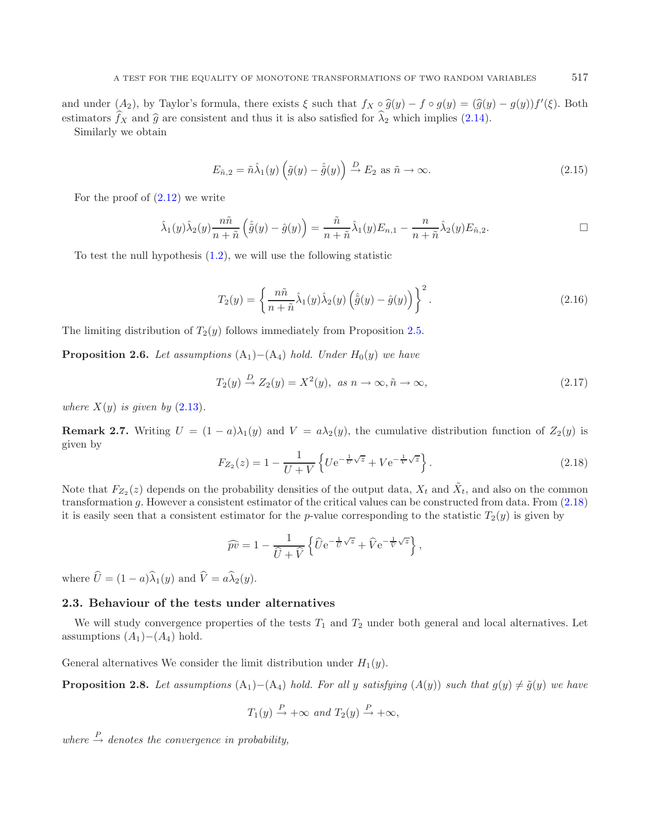and under  $(A_2)$ , by Taylor's formula, there exists  $\xi$  such that  $f_X \circ \hat{g}(y) - f \circ g(y) = (\hat{g}(y) - g(y))f'(\xi)$ . Both estimators  $f_X$  and  $\hat{g}$  are consistent and thus it is also satisfied for  $\lambda_2$  which implies [\(2.14\)](#page-5-0).

Similarly we obtain

$$
E_{\tilde{n},2} = \tilde{n}\hat{\lambda}_1(y) \left( \tilde{g}(y) - \hat{\tilde{g}}(y) \right) \stackrel{D}{\to} E_2 \text{ as } \tilde{n} \to \infty.
$$
 (2.15)

For the proof of  $(2.12)$  we write

$$
\hat{\lambda}_1(y)\hat{\lambda}_2(y)\frac{n\tilde{n}}{n+\tilde{n}}\left(\hat{\tilde{g}}(y)-\hat{g}(y)\right)=\frac{\tilde{n}}{n+\tilde{n}}\hat{\lambda}_1(y)E_{n,1}-\frac{n}{n+\tilde{n}}\hat{\lambda}_2(y)E_{\tilde{n},2}.
$$

<span id="page-7-0"></span>To test the null hypothesis  $(1.2)$ , we will use the following statistic

<span id="page-7-2"></span>
$$
T_2(y) = \left\{ \frac{n\tilde{n}}{n+\tilde{n}} \hat{\lambda}_1(y)\hat{\lambda}_2(y) \left(\hat{\tilde{g}}(y) - \hat{g}(y)\right) \right\}^2.
$$
 (2.16)

The limiting distribution of  $T_2(y)$  follows immediately from Proposition [2.5.](#page-5-2)

**Proposition 2.6.** *Let assumptions*  $(A_1) - (A_4)$  *hold. Under*  $H_0(y)$  *we have* 

<span id="page-7-1"></span>
$$
T_2(y) \stackrel{D}{\rightarrow} Z_2(y) = X^2(y), \text{ as } n \to \infty, \tilde{n} \to \infty,
$$
\n(2.17)

*where*  $X(y)$  *is given by*  $(2.13)$ *.* 

**Remark 2.7.** Writing  $U = (1 - a)\lambda_1(y)$  and  $V = a\lambda_2(y)$ , the cumulative distribution function of  $Z_2(y)$  is given by

$$
F_{Z_2}(z) = 1 - \frac{1}{U + V} \left\{ U e^{-\frac{1}{U}\sqrt{z}} + V e^{-\frac{1}{V}\sqrt{z}} \right\}.
$$
 (2.18)

Note that  $F_{Z_2}(z)$  depends on the probability densities of the output data,  $X_t$  and  $\tilde{X}_t$ , and also on the common transformation g. However a consistent estimator of the critical values can be constructed from data. From [\(2.18\)](#page-7-0) it is easily seen that a consistent estimator for the p-value corresponding to the statistic  $T_2(y)$  is given by

$$
\widehat{pv} = 1 - \frac{1}{\widehat{U} + \widehat{V}} \left\{ \widehat{U} e^{-\frac{1}{U}\sqrt{z}} + \widehat{V} e^{-\frac{1}{V}\sqrt{z}} \right\},\,
$$

where  $\hat{U} = (1 - a)\hat{\lambda}_1(v)$  and  $\hat{V} = a\hat{\lambda}_2(v)$ .

#### **2.3. Behaviour of the tests under alternatives**

We will study convergence properties of the tests  $T_1$  and  $T_2$  under both general and local alternatives. Let assumptions  $(A_1)$ − $(A_4)$  hold.

General alternatives We consider the limit distribution under  $H_1(y)$ .

**Proposition 2.8.** *Let assumptions*  $(A_1) - (A_4)$  *hold. For all* y *satisfying*  $(A(y))$  *such that*  $g(y) \neq \tilde{g}(y)$  *we have* 

$$
T_1(y) \stackrel{P}{\rightarrow} +\infty
$$
 and  $T_2(y) \stackrel{P}{\rightarrow} +\infty$ ,

where  $\stackrel{r}{\rightarrow}$  *denotes the convergence in probability,*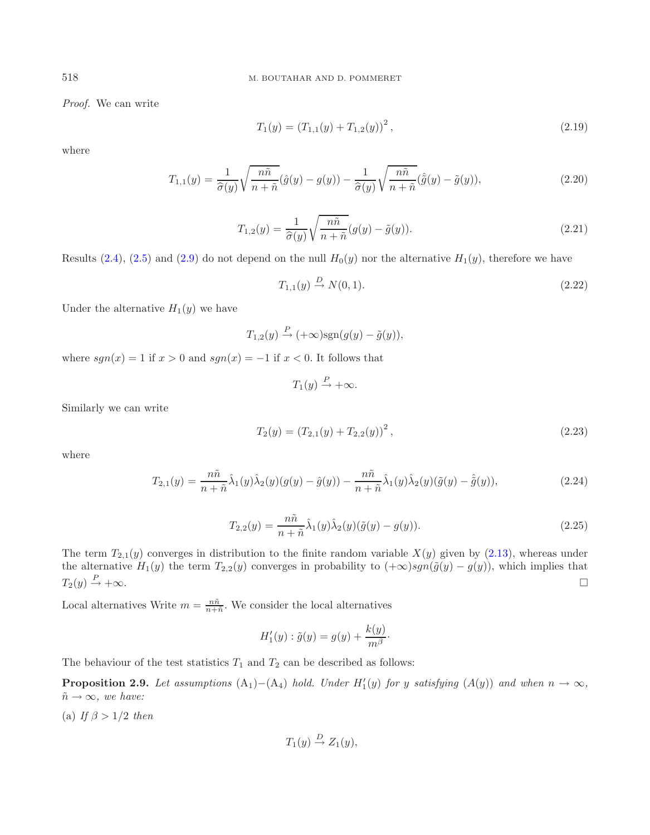*Proof.* We can write

$$
T_1(y) = (T_{1,1}(y) + T_{1,2}(y))^2, \qquad (2.19)
$$

where

<span id="page-8-1"></span><span id="page-8-0"></span>
$$
T_{1,1}(y) = \frac{1}{\hat{\sigma}(y)} \sqrt{\frac{n\tilde{n}}{n+\tilde{n}}} (\hat{g}(y) - g(y)) - \frac{1}{\hat{\sigma}(y)} \sqrt{\frac{n\tilde{n}}{n+\tilde{n}}} (\hat{\tilde{g}}(y) - \tilde{g}(y)),
$$
\n(2.20)

$$
T_{1,2}(y) = \frac{1}{\hat{\sigma}(y)} \sqrt{\frac{n\tilde{n}}{n+\tilde{n}}}(g(y) - \tilde{g}(y)).
$$
\n(2.21)

Results [\(2.4\)](#page-2-1), [\(2.5\)](#page-2-1) and [\(2.9\)](#page-4-0) do not depend on the null  $H_0(y)$  nor the alternative  $H_1(y)$ , therefore we have

$$
T_{1,1}(y) \stackrel{D}{\rightarrow} N(0,1). \tag{2.22}
$$

Under the alternative  $H_1(y)$  we have

$$
T_{1,2}(y) \stackrel{P}{\rightarrow} (+\infty) \text{sgn}(g(y) - \tilde{g}(y)),
$$

where  $sgn(x) = 1$  if  $x > 0$  and  $sgn(x) = -1$  if  $x < 0$ . It follows that

 $T_1(y) \to +\infty.$ 

Similarly we can write

<span id="page-8-4"></span>
$$
T_2(y) = (T_{2,1}(y) + T_{2,2}(y))^2,
$$
\n(2.23)

where

<span id="page-8-3"></span><span id="page-8-2"></span>
$$
T_{2,1}(y) = \frac{n\tilde{n}}{n+\tilde{n}}\hat{\lambda}_1(y)\hat{\lambda}_2(y)(g(y)-\hat{g}(y)) - \frac{n\tilde{n}}{n+\tilde{n}}\hat{\lambda}_1(y)\hat{\lambda}_2(y)(\tilde{g}(y)-\hat{\tilde{g}}(y)),
$$
\n(2.24)

$$
T_{2,2}(y) = \frac{n\tilde{n}}{n+\tilde{n}}\hat{\lambda}_1(y)\hat{\lambda}_2(y)(\tilde{g}(y) - g(y)).
$$
\n(2.25)

The term  $T_{2,1}(y)$  converges in distribution to the finite random variable  $X(y)$  given by [\(2.13\)](#page-5-3), whereas under the alternative  $H_1(y)$  the term  $T_{2,2}(y)$  converges in probability to  $(+\infty)sgn(\tilde{g}(y) - g(y))$ , which implies that  $T_2(y) \stackrel{P}{\rightarrow} +\infty.$  $\rightarrow +\infty$ .  $\Box$ 

Local alternatives Write  $m = \frac{nn}{n+\tilde{n}}$ . We consider the local alternatives

$$
H'_1(y) : \tilde{g}(y) = g(y) + \frac{k(y)}{m^{\beta}}.
$$

The behaviour of the test statistics  $T_1$  and  $T_2$  can be described as follows:

**Proposition 2.9.** *Let assumptions*  $(A_1) - (A_4)$  *hold. Under*  $H'_1(y)$  *for* y *satisfying*  $(A(y))$  *and when*  $n \to \infty$ ,  $\tilde{n} \rightarrow \infty$ , we have:

(a) *If*  $\beta > 1/2$  *then* 

$$
T_1(y) \stackrel{D}{\rightarrow} Z_1(y),
$$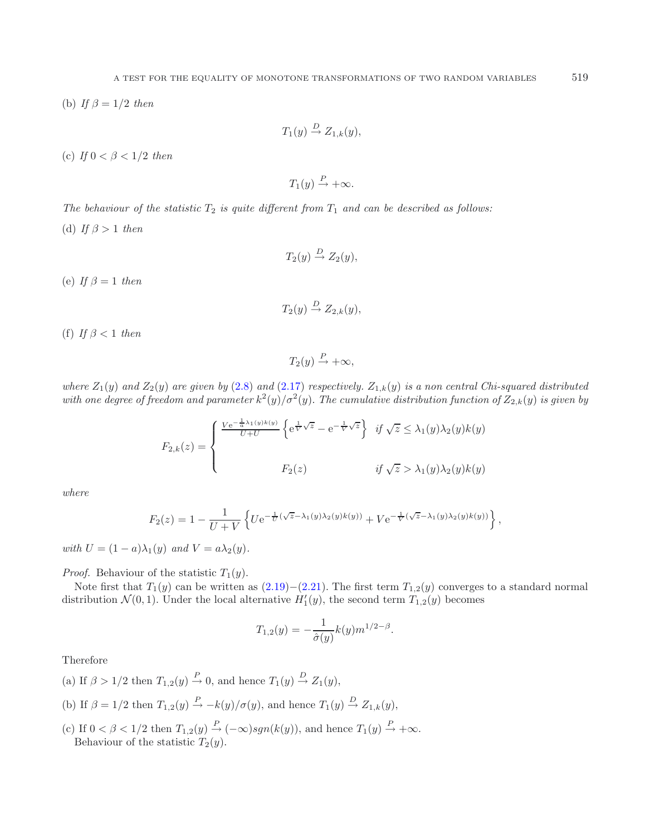(b) *If*  $\beta = 1/2$  *then* 

$$
T_1(y) \stackrel{D}{\rightarrow} Z_{1,k}(y),
$$

(c) *If*  $0 < \beta < 1/2$  *then* 

$$
T_1(y) \stackrel{P}{\to} +\infty.
$$

The behaviour of the statistic  $T_2$  is quite different from  $T_1$  and can be described as follows: (d) *If*  $\beta > 1$  *then* 

$$
T_2(y) \stackrel{D}{\rightarrow} Z_2(y),
$$

(e) *If*  $\beta = 1$  *then* 

$$
T_2(y) \stackrel{D}{\rightarrow} Z_{2,k}(y),
$$

(f) *If*  $\beta$  < 1 *then* 

 $T_2(y) \stackrel{1}{\rightarrow} +\infty,$ 

*where*  $Z_1(y)$  and  $Z_2(y)$  are given by [\(2.8\)](#page-3-2) and [\(2.17\)](#page-7-1) respectively.  $Z_{1,k}(y)$  is a non central Chi-squared distributed *with one degree of freedom and parameter*  $k^2(y)/\sigma^2(y)$ . *The cumulative distribution function of*  $Z_{2,k}(y)$  *is given by* 

$$
F_{2,k}(z) = \begin{cases} \frac{V e^{-\frac{1}{a}\lambda_1(y)k(y)}}{U+U} \left\{ e^{\frac{1}{V}\sqrt{z}} - e^{-\frac{1}{V}\sqrt{z}} \right\} & \text{if } \sqrt{z} \le \lambda_1(y)\lambda_2(y)k(y) \\ & \\ F_2(z) & \text{if } \sqrt{z} > \lambda_1(y)\lambda_2(y)k(y) \end{cases}
$$

*where*

$$
F_2(z) = 1 - \frac{1}{U+V} \left\{ U e^{-\frac{1}{U}(\sqrt{z}-\lambda_1(y)\lambda_2(y)k(y))} + V e^{-\frac{1}{V}(\sqrt{z}-\lambda_1(y)\lambda_2(y)k(y))} \right\},
$$

*with*  $U = (1 - a)\lambda_1(y)$  *and*  $V = a\lambda_2(y)$ *.* 

*Proof.* Behaviour of the statistic  $T_1(y)$ .

Note first that  $T_1(y)$  can be written as  $(2.19)–(2.21)$  $(2.19)–(2.21)$  $(2.19)–(2.21)$ . The first term  $T_{1,2}(y)$  converges to a standard normal distribution  $\mathcal{N}(0, 1)$ . Under the local alternative  $H'_1(y)$ , the second term  $T_{1,2}(y)$  becomes

$$
T_{1,2}(y) = -\frac{1}{\hat{\sigma}(y)}k(y)m^{1/2-\beta}.
$$

Therefore

- (a) If  $\beta > 1/2$  then  $T_{1,2}(y) \stackrel{\rightarrow}{\rightarrow} 0$ , and hence  $T_1(y) \stackrel{\rightarrow}{\rightarrow} Z_1(y)$ , (b) If  $\beta = 1/2$  then  $T_{1,2}(y) \stackrel{L}{\rightarrow} -k(y)/\sigma(y)$ , and hence  $T_1(y) \stackrel{D}{\rightarrow} Z_{1,k}(y)$ ,
- (c) If  $0 < \beta < 1/2$  then  $T_{1,2}(y) \stackrel{\prime}{\rightarrow} (-\infty) sgn(k(y))$ , and hence  $T_1(y) \stackrel{\prime}{\rightarrow} +\infty$ . Behaviour of the statistic  $T_2(y)$ .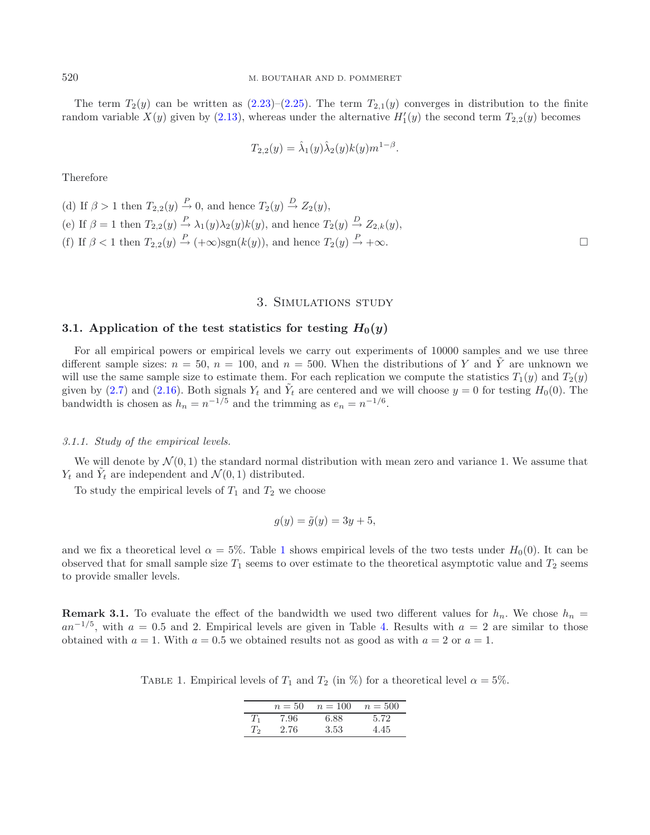The term  $T_2(y)$  can be written as  $(2.23)-(2.25)$  $(2.23)-(2.25)$  $(2.23)-(2.25)$ . The term  $T_{2,1}(y)$  converges in distribution to the finite random variable  $X(y)$  given by [\(2.13\)](#page-5-3), whereas under the alternative  $H'_1(y)$  the second term  $T_{2,2}(y)$  becomes

$$
T_{2,2}(y) = \hat{\lambda}_1(y)\hat{\lambda}_2(y)k(y)m^{1-\beta}.
$$

Therefore

(d) If  $\beta > 1$  then  $T_{2,2}(y) \stackrel{\rightarrow}{\rightarrow} 0$ , and hence  $T_2(y) \stackrel{\rightarrow}{\rightarrow} Z_2(y)$ , (e) If  $\beta = 1$  then  $T_{2,2}(y) \stackrel{\rightarrow}{\rightarrow} \lambda_1(y)\lambda_2(y)k(y)$ , and hence  $T_2(y) \stackrel{\rightarrow}{\rightarrow} Z_{2,k}(y)$ , (f) If  $\beta < 1$  then  $T_{2,2}(y) \stackrel{\rightarrow}{\rightarrow} (+\infty)$ sgn $(k(y))$ , and hence  $T_2(y) \stackrel{\rightarrow}{\rightarrow} +\infty$ .

#### 3. Simulations study

### **3.1.** Application of the test statistics for testing  $H_0(y)$

For all empirical powers or empirical levels we carry out experiments of 10000 samples and we use three different sample sizes:  $n = 50$ ,  $n = 100$ , and  $n = 500$ . When the distributions of Y and Y are unknown we will use the same sample size to estimate them. For each replication we compute the statistics  $T_1(y)$  and  $T_2(y)$ given by [\(2.7\)](#page-3-3) and [\(2.16\)](#page-7-2). Both signals  $Y_t$  and  $\tilde{Y}_t$  are centered and we will choose  $y = 0$  for testing  $H_0(0)$ . The bandwidth is chosen as  $h_n = n^{-1/5}$  and the trimming as  $e_n = n^{-1/6}$ .

#### *3.1.1. Study of the empirical levels.*

We will denote by  $\mathcal{N}(0, 1)$  the standard normal distribution with mean zero and variance 1. We assume that  $Y_t$  and  $Y_t$  are independent and  $\mathcal{N}(0,1)$  distributed.

To study the empirical levels of  $T_1$  and  $T_2$  we choose

$$
g(y) = \tilde{g}(y) = 3y + 5,
$$

and we fix a theoretical level  $\alpha = 5\%$ . Table [1](#page-10-0) shows empirical levels of the two tests under  $H_0(0)$ . It can be observed that for small sample size  $T_1$  seems to over estimate to the theoretical asymptotic value and  $T_2$  seems to provide smaller levels.

<span id="page-10-0"></span>**Remark 3.1.** To evaluate the effect of the bandwidth we used two different values for  $h_n$ . We chose  $h_n$  =  $an^{-1/5}$ , with  $a = 0.5$  and 2. Empirical levels are given in Table [4.](#page-11-0) Results with  $a = 2$  are similar to those obtained with  $a = 1$ . With  $a = 0.5$  we obtained results not as good as with  $a = 2$  or  $a = 1$ .

TABLE 1. Empirical levels of  $T_1$  and  $T_2$  (in %) for a theoretical level  $\alpha = 5\%$ .

|       | $n=50$ | $n = 100$ | $n = 500$ |
|-------|--------|-----------|-----------|
| $T_1$ | 7.96   | 6.88      | 5.72      |
| $T_2$ | 2.76   | 3.53      | 4.45      |
|       |        |           |           |

 $\Box$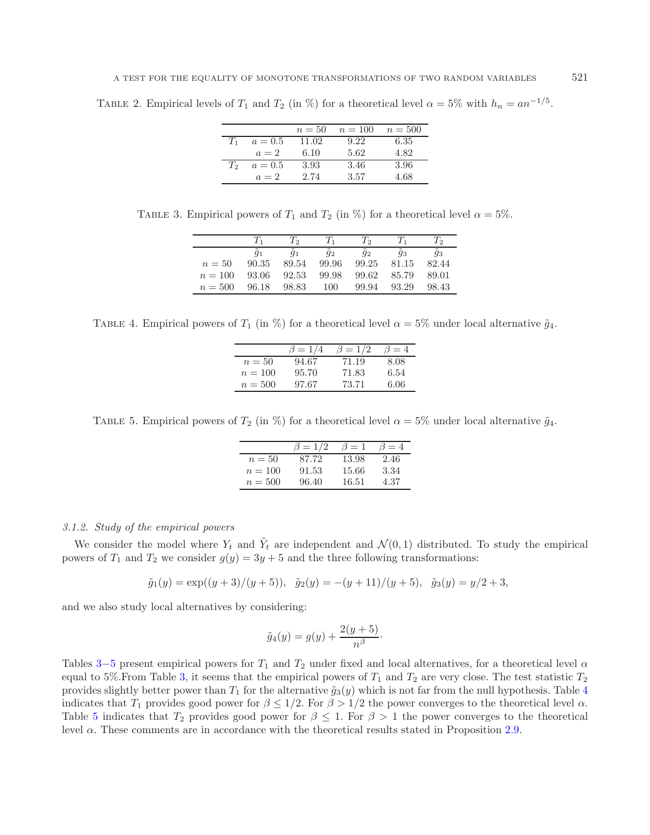|                |           | $n=50$ | $n = 100$ | $n = 500$ |
|----------------|-----------|--------|-----------|-----------|
| $T_1$          | $a = 0.5$ | 11.02  | 9.22      | 6.35      |
|                | $a=2$     | 6.10   | 5.62      | 4.82      |
| T <sub>2</sub> | $a = 0.5$ | 3.93   | 3.46      | 3.96      |
|                | $a=2$     | 2.74   | 3.57      | 4.68      |
|                |           |        |           |           |

<span id="page-11-1"></span>TABLE 2. Empirical levels of  $T_1$  and  $T_2$  (in %) for a theoretical level  $\alpha = 5\%$  with  $h_n = an^{-1/5}$ .

TABLE 3. Empirical powers of  $T_1$  and  $T_2$  (in  $\%$ ) for a theoretical level  $\alpha = 5\%$ .

|           |               | T,    |         | T,    |       | T,    |
|-----------|---------------|-------|---------|-------|-------|-------|
|           | $\tilde{q}_1$ | $q_1$ | $q_{2}$ | $q_2$ | $q_3$ | 93    |
| $n=50$    | 90.35         | 89.54 | 99.96   | 99.25 | 81.15 | 82.44 |
| $n = 100$ | 93.06         | 92.53 | 99.98   | 99.62 | 85.79 | 89.01 |
| $n=500$   | 96.18         | 98.83 | 100     | 99.94 | 93.29 | 98.43 |
|           |               |       |         |       |       |       |

<span id="page-11-0"></span>TABLE 4. Empirical powers of  $T_1$  (in %) for a theoretical level  $\alpha = 5\%$  under local alternative  $\tilde{g}_4$ .

|           | $\beta = 1/$ | $\beta=1/2$ | $3 = 4$ |
|-----------|--------------|-------------|---------|
| $n=50$    | 94.67        | 71.19       | 8.08    |
| $n = 100$ | 95.70        | 71.83       | 6.54    |
| $n = 500$ | 97.67        | 73.71       | 6.06    |
|           |              |             |         |

<span id="page-11-2"></span>TABLE 5. Empirical powers of  $T_2$  (in %) for a theoretical level  $\alpha = 5\%$  under local alternative  $\tilde{g}_4$ .

|           | $\beta = 1/2$ | $\beta=1$ | $=4$ |
|-----------|---------------|-----------|------|
| $n=50$    | 87.72         | 13.98     | 2.46 |
| $n = 100$ | 91.53         | 15.66     | 3.34 |
| $n = 500$ | 96.40         | 16.51     | 4.37 |
|           |               |           |      |

#### *3.1.2. Study of the empirical powers*

We consider the model where  $Y_t$  and  $\tilde{Y}_t$  are independent and  $\mathcal{N}(0,1)$  distributed. To study the empirical powers of  $T_1$  and  $T_2$  we consider  $g(y)=3y + 5$  and the three following transformations:

$$
\tilde{g}_1(y) = \exp((y+3)/(y+5)), \quad \tilde{g}_2(y) = -(y+11)/(y+5), \quad \tilde{g}_3(y) = y/2 + 3,
$$

and we also study local alternatives by considering:

$$
\tilde{g}_4(y) = g(y) + \frac{2(y+5)}{n^{\beta}}.
$$

Tables [3](#page-11-1)–[5](#page-11-2) present empirical powers for  $T_1$  and  $T_2$  under fixed and local alternatives, for a theoretical level  $\alpha$ equal to 5%. From Table [3,](#page-11-1) it seems that the empirical powers of  $T_1$  and  $T_2$  are very close. The test statistic  $T_2$ provides slightly better power than  $T_1$  for the alternative  $\tilde{g}_3(y)$  which is not far from the null hypothesis. Table [4](#page-11-0) indicates that  $T_1$  provides good power for  $\beta \leq 1/2$ . For  $\beta > 1/2$  the power converges to the theoretical level  $\alpha$ . Table [5](#page-11-2) indicates that  $T_2$  provides good power for  $\beta \leq 1$ . For  $\beta > 1$  the power converges to the theoretical level α. These comments are in accordance with the theoretical results stated in Proposition [2.9.](#page-8-4)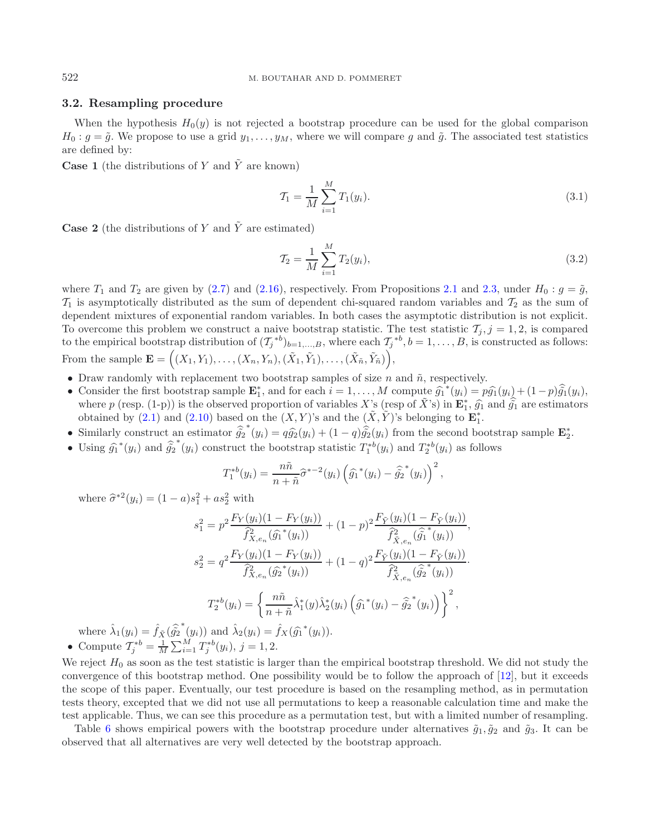### <span id="page-12-0"></span>**3.2. Resampling procedure**

When the hypothesis  $H_0(y)$  is not rejected a bootstrap procedure can be used for the global comparison  $H_0: g = \tilde{g}$ . We propose to use a grid  $y_1, \ldots, y_M$ , where we will compare g and  $\tilde{g}$ . The associated test statistics are defined by:

**Case 1** (the distributions of Y and  $\tilde{Y}$  are known)

$$
\mathcal{T}_1 = \frac{1}{M} \sum_{i=1}^{M} T_1(y_i). \tag{3.1}
$$

**Case 2** (the distributions of Y and  $\tilde{Y}$  are estimated)

$$
\mathcal{T}_2 = \frac{1}{M} \sum_{i=1}^{M} T_2(y_i),\tag{3.2}
$$

where  $T_1$  and  $T_2$  are given by [\(2.7\)](#page-3-3) and [\(2.16\)](#page-7-2), respectively. From Propositions [2.1](#page-2-3) and [2.3,](#page-3-4) under  $H_0: g = \tilde{g}$ ,  $\mathcal{T}_1$  is asymptotically distributed as the sum of dependent chi-squared random variables and  $\mathcal{T}_2$  as the sum of dependent mixtures of exponential random variables. In both cases the asymptotic distribution is not explicit. To overcome this problem we construct a naive bootstrap statistic. The test statistic  $\mathcal{T}_j, j = 1, 2$ , is compared to the empirical bootstrap distribution of  $(\mathcal{T}_j^{*b})_{b=1,\ldots,B}$ , where each  $\mathcal{T}_j^{*b}, b=1,\ldots,B$ , is constructed as follows: From the sample  $\mathbf{E} = ((X_1, Y_1), \ldots, (X_n, Y_n), (\tilde{X}_1, \tilde{Y}_1), \ldots, (\tilde{X}_{\tilde{n}}, \tilde{Y}_{\tilde{n}})),$ 

- Draw randomly with replacement two bootstrap samples of size n and  $\tilde{n}$ , respectively.
- Consider the first bootstrap sample  $\mathbf{E}_1^*$ , and for each  $i = 1, ..., M$  compute  $\hat{g}_1^*(y_i) = p\hat{g}_1(y_i) + (1-p)\hat{g}_1(y_i)$ ,<br>where  $p_i(\text{resp.} (1, p))$  is the ebsenced proportion of variables  $X$ 's (resp. of  $\tilde{X}$ 's) in  $\mathbf{F}$ where p (resp. (1-p)) is the observed proportion of variables X's (resp of  $\tilde{X}$ 's) in  $\mathbf{E}_1^*, \hat{g}_1$  and  $\hat{g}_1$  are estimators obtained by (2.1) and (2.10) based on the (X X')'s and the ( $\tilde{X}$  X')'s belonging obtained by [\(2.1\)](#page-2-4) and [\(2.10\)](#page-5-4) based on the  $(X, Y)$ 's and the  $(\tilde{X}, \tilde{Y})$ 's belonging to  $\mathbf{E}_{1}^{*}$ .
- Similarly construct an estimator  $\hat{g}_2^*(y_i) = q\hat{g}_2(y_i) + (1-q)\hat{g}_2(y_i)$  from the second bootstrap sample  $\mathbf{E}_2^*$ .
- Using  $\hat{g}_1^*(y_i)$  and  $\hat{g}_2^*(y_i)$  construct the bootstrap statistic  $T_1^{*b}(y_i)$  and  $T_2^{*b}(y_i)$  as follows

$$
T_1^{*b}(y_i) = \frac{n\tilde{n}}{n+\tilde{n}} \hat{\sigma}^{*-2}(y_i) \left(\hat{g}_1^{*}(y_i) - \hat{\tilde{g}_2}^{*}(y_i)\right)^2,
$$

where  $\hat{\sigma}^{*2}(y_i) = (1 - a)s_1^2 + as_2^2$  with

$$
s_1^2 = p^2 \frac{F_Y(y_i)(1 - F_Y(y_i))}{\hat{f}_{X, e_n}^2(\hat{g}_1^*(y_i))} + (1 - p)^2 \frac{F_{\tilde{Y}}(y_i)(1 - F_{\tilde{Y}}(y_i))}{\hat{f}_{\tilde{X}, e_n}^2(\hat{g}_1^*(y_i))},
$$
  
\n
$$
s_2^2 = q^2 \frac{F_Y(y_i)(1 - F_Y(y_i))}{\hat{f}_{X, e_n}^2(\hat{g}_2^*(y_i))} + (1 - q)^2 \frac{F_{\tilde{Y}}(y_i)(1 - F_{\tilde{Y}}(y_i))}{\hat{f}_{\tilde{X}, e_n}^2(\hat{g}_2^*(y_i))}.
$$
  
\n
$$
T_2^{*b}(y_i) = \left\{ \frac{n\tilde{n}}{n + \tilde{n}} \hat{\lambda}_1^*(y) \hat{\lambda}_2^*(y_i) \left(\hat{g}_1^*(y_i) - \hat{g}_2^*(y_i)\right) \right\}^2,
$$
  
\n
$$
= \hat{f}_{\tilde{X}}(\hat{\hat{g}}_1^*(y_i)) \text{ and } \hat{\lambda}_2(y_i) = \hat{f}_{Y}(\hat{g}_1^*(y_i)).
$$

where  $\hat{\lambda}_1(y_i) = \hat{f}_{\tilde{X}}(\hat{g}_2^{*}(y_i))$  and  $\hat{\lambda}_2(y_i) = \hat{f}_{X}(\hat{g}_1^{*}(y_i)).$ <br>Compute  $\mathcal{T}^{*b}$   $\longrightarrow$   $\mathcal{T}^{M}$   $\mathcal{T}^{*b}(\cdot)$   $\longrightarrow$   $\longrightarrow$   $\longrightarrow$ • Compute  $\mathcal{T}_{j}^{*b} = \frac{1}{M} \sum_{i=1}^{M} T_{j}^{*b}(y_i), j = 1, 2.$ 

We reject  $H_0$  as soon as the test statistic is larger than the empirical bootstrap threshold. We did not study the convergence of this bootstrap mathed. One possibility would be to follow the empressive of [10], but it convergence of this bootstrap method. One possibility would be to follow the approach of [\[12](#page-16-4)], but it exceeds the scope of this paper. Eventually, our test procedure is based on the resampling method, as in permutation tests theory, excepted that we did not use all permutations to keep a reasonable calculation time and make the test applicable. Thus, we can see this procedure as a permutation test, but with a limited number of resampling.

Table [6](#page-13-0) shows empirical powers with the bootstrap procedure under alternatives  $\tilde{g}_1, \tilde{g}_2$  and  $\tilde{g}_3$ . It can be observed that all alternatives are very well detected by the bootstrap approach.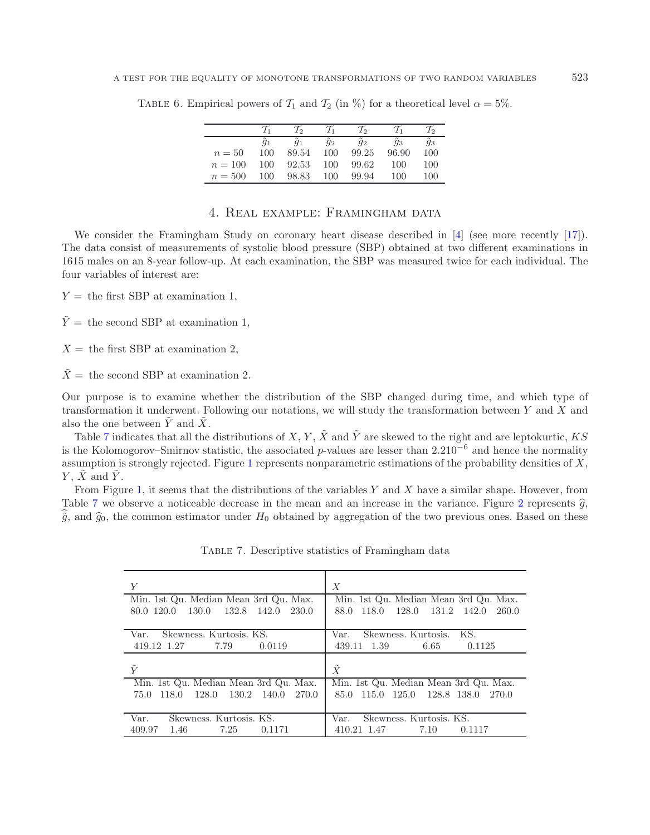|           |               | $\iota$ |       | $\mathcal{L}_{2}$ |       | L٥            |
|-----------|---------------|---------|-------|-------------------|-------|---------------|
|           | $\tilde{q}_1$ | $q_1$   | $q_2$ | ~<br>$q_2$        | $q_3$ | $\tilde{q}_3$ |
| $n=50$    | 100           | 89.54   | 100   | 99.25             | 96.90 | 100           |
| $n = 100$ | 100           | 92.53   | 100   | 99.62             | 100   | 100           |
| $n = 500$ | 100           | 98.83   | 100   | 99.94             | 100   | 100           |
|           |               |         |       |                   |       |               |

<span id="page-13-0"></span>TABLE 6. Empirical powers of  $\mathcal{T}_1$  and  $\mathcal{T}_2$  (in %) for a theoretical level  $\alpha = 5\%$ .

## 4. Real example: Framingham data

We consider the Framingham Study on coronary heart disease described in [\[4](#page-15-8)] (see more recently [\[17](#page-16-5)]). The data consist of measurements of systolic blood pressure (SBP) obtained at two different examinations in 1615 males on an 8-year follow-up. At each examination, the SBP was measured twice for each individual. The four variables of interest are:

 $Y =$  the first SBP at examination 1,

 $\tilde{Y}$  = the second SBP at examination 1.

 $X =$  the first SBP at examination 2,

 $\tilde{X}$  = the second SBP at examination 2.

Our purpose is to examine whether the distribution of the SBP changed during time, and which type of transformation it underwent. Following our notations, we will study the transformation between Y and X and also the one between  $\tilde{Y}$  and  $\tilde{X}$ .

Table [7](#page-13-1) indicates that all the distributions of X, Y,  $\tilde{X}$  and  $\tilde{Y}$  are skewed to the right and are leptokurtic, KS is the Kolomogorov–Smirnov statistic, the associated p-values are lesser than 2.210<sup>-6</sup> and hence the normality assumption is strongly rejected. Figure [1](#page-14-0) represents nonparametric estimations of the probability densities of  $X$ ,  $Y, X$  and  $Y$ .

<span id="page-13-1"></span>From Figure [1,](#page-14-0) it seems that the distributions of the variables Y and X have a similar shape. However, from Table [7](#page-13-1) we observe a noticeable decrease in the mean and an increase in the variance. Figure [2](#page-15-11) represents  $\hat{g}$ ,  $\hat{g}$ , and  $\hat{g}_0$ , the common estimator under  $H_0$  obtained by aggregation of the two previous ones.

| Y                                                                           | $\boldsymbol{X}$                                                            |  |  |
|-----------------------------------------------------------------------------|-----------------------------------------------------------------------------|--|--|
|                                                                             |                                                                             |  |  |
| Min. 1st Qu. Median Mean 3rd Qu. Max.<br>80.0 120.0 130.0 132.8 142.0 230.0 | Min. 1st Qu. Median Mean 3rd Qu. Max.<br>88.0 118.0 128.0 131.2 142.0 260.0 |  |  |
| Var. Skewness. Kurtosis. KS.                                                | Var. Skewness, Kurtosis. KS.                                                |  |  |
|                                                                             |                                                                             |  |  |
| 419.12 1.27 7.79<br>0.0119                                                  | 439.11 1.39 6.65<br>0.1125                                                  |  |  |
| $\tilde{Y}$                                                                 | $\overline{X}$                                                              |  |  |
| Min. 1st Qu. Median Mean 3rd Qu. Max.                                       | Min. 1st Qu. Median Mean 3rd Qu. Max.                                       |  |  |
| 75.0 118.0 128.0 130.2 140.0 270.0                                          | 85.0 115.0 125.0 128.8 138.0 270.0                                          |  |  |
| Skewness, Kurtosis, KS.<br>Var.                                             | – Skewness, Kurtosis, KS.<br>Var.                                           |  |  |
| 409.97<br>1.46<br>7.25<br>0.1171                                            | 410.21 1.47 7.10<br>0.1117                                                  |  |  |

Table 7. Descriptive statistics of Framingham data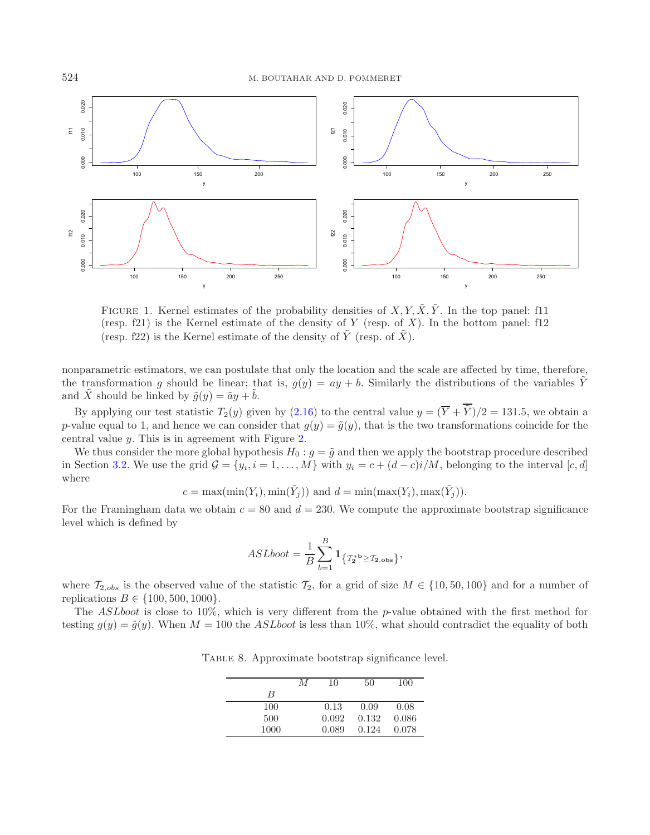

<span id="page-14-0"></span>FIGURE 1. Kernel estimates of the probability densities of  $X, Y, \tilde{X}, \tilde{Y}$ . In the top panel: f11 (resp. f21) is the Kernel estimate of the density of Y (resp. of X). In the bottom panel: f12 (resp. f22) is the Kernel estimate of the density of  $\tilde{Y}$  (resp. of  $\tilde{X}$ ).

nonparametric estimators, we can postulate that only the location and the scale are affected by time, therefore, the transformation g should be linear; that is,  $g(y) = ay + b$ . Similarly the distributions of the variables  $\tilde{Y}$ and X should be linked by  $\tilde{g}(y)=\tilde{a}y + b$ .

By applying our test statistic  $T_2(y)$  given by [\(2.16\)](#page-7-2) to the central value  $y = (\overline{Y} + \overline{\tilde{Y}})/2 = 131.5$ , we obtain a p-value equal to 1, and hence we can consider that  $g(y)=\tilde{g}(y)$ , that is the two transformations coincide for the central value y. This is in agreement with Figure [2.](#page-15-11)

We thus consider the more global hypothesis  $H_0 : g = \tilde{g}$  and then we apply the bootstrap procedure described in Section [3.2.](#page-12-0) We use the grid  $\mathcal{G} = \{y_i, i = 1, \ldots, M\}$  with  $y_i = c + (d - c)i/M$ , belonging to the interval  $[c, d]$ where

$$
c = \max(\min(Y_i), \min(\tilde{Y}_j))
$$
 and  $d = \min(\max(Y_i), \max(\tilde{Y}_j)).$ 

For the Framingham data we obtain  $c = 80$  and  $d = 230$ . We compute the approximate bootstrap significance level which is defined by

$$
ASLboot = \frac{1}{B} \sum_{b=1}^{B} \mathbf{1}_{\left\{T_2^{*b} \ge T_{2,obs}\right\}},
$$

where  $\mathcal{T}_{2,obs}$  is the observed value of the statistic  $\mathcal{T}_2$ , for a grid of size  $M \in \{10, 50, 100\}$  and for a number of replications  $B \in \{100, 500, 1000\}.$ 

The ASLboot is close to 10%, which is very different from the p-value obtained with the first method for testing  $g(y)=\tilde{g}(y)$ . When  $M = 100$  the ASLboot is less than 10%, what should contradict the equality of both

|      | М | 10    | 50    | 100   |
|------|---|-------|-------|-------|
| B    |   |       |       |       |
| 100  |   | 0.13  | 0.09  | 0.08  |
| 500  |   | 0.092 | 0.132 | 0.086 |
| 1000 |   | 0.089 | 0.124 | 0.078 |

Table 8. Approximate bootstrap significance level.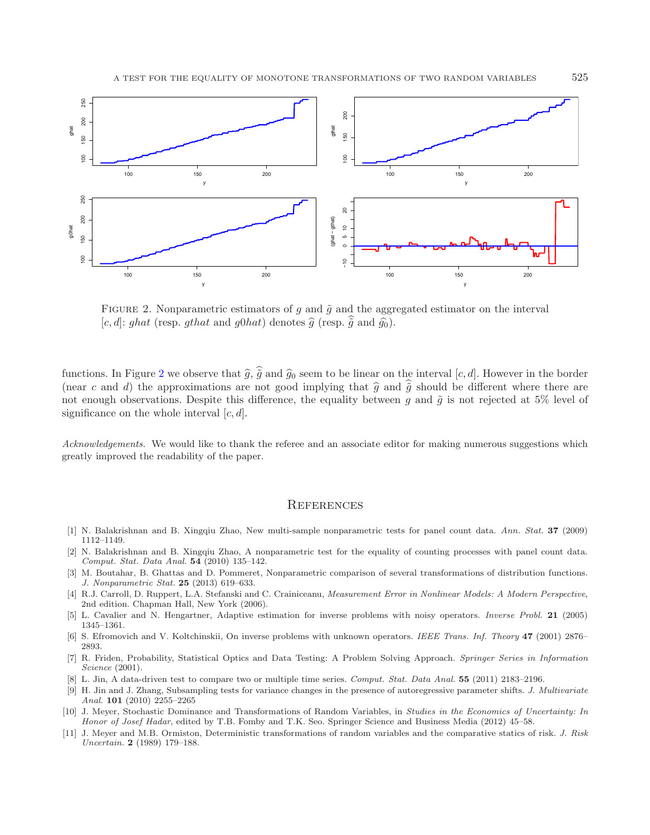

FIGURE 2. Nonparametric estimators of q and  $\tilde{q}$  and the aggregated estimator on the interval [c, d]: ghat (resp. gthat and g0hat) denotes  $\hat{q}$  (resp.  $\hat{q}$  and  $\hat{q}_0$ ).

functions. In Figure [2](#page-15-11) we observe that  $\hat{g}, \hat{\tilde{g}}$  and  $\hat{g}_0$  seem to be linear on the interval [c, d]. However in the border (near c and d) the approximations are not good implying that  $\hat{g}$  and  $\hat{g}$  should be different where there are not enough observations. Despite this difference, the equality between g and  $\tilde{g}$  is not rejected at 5% level of significance on the whole interval  $[c, d]$ .

*Acknowledgements.* We would like to thank the referee and an associate editor for making numerous suggestions which greatly improved the readability of the paper.

### **REFERENCES**

- <span id="page-15-3"></span>[1] N. Balakrishnan and B. Xingqiu Zhao, New multi-sample nonparametric tests for panel count data. *Ann. Stat.* **37** (2009) 1112–1149.
- <span id="page-15-4"></span>[2] N. Balakrishnan and B. Xingqiu Zhao, A nonparametric test for the equality of counting processes with panel count data. *Comput. Stat. Data Anal.* **54** (2010) 135–142.
- <span id="page-15-7"></span>[3] M. Boutahar, B. Ghattas and D. Pommeret, Nonparametric comparison of several transformations of distribution functions. *J. Nonparametric Stat.* **25** (2013) 619–633.
- <span id="page-15-8"></span>[4] R.J. Carroll, D. Ruppert, L.A. Stefanski and C. Crainiceanu, *Measurement Error in Nonlinear Models: A Modern Perspective*, 2nd edition. Chapman Hall, New York (2006).
- <span id="page-15-10"></span>[5] L. Cavalier and N. Hengartner, Adaptive estimation for inverse problems with noisy operators. *Inverse Probl.* **21** (2005) 1345–1361.
- <span id="page-15-9"></span>[6] S. Efromovich and V. Koltchinskii, On inverse problems with unknown operators. *IEEE Trans. Inf. Theory* **47** (2001) 2876– 2893.
- <span id="page-15-0"></span>[7] R. Friden, Probability, Statistical Optics and Data Testing: A Problem Solving Approach. *Springer Series in Information Science* (2001).
- [8] L. Jin, A data-driven test to compare two or multiple time series. *Comput. Stat. Data Anal.* **55** (2011) 2183–2196.
- <span id="page-15-6"></span>[9] H. Jin and J. Zhang, Subsampling tests for variance changes in the presence of autoregressive parameter shifts. *J. Multivariate Anal.* **101** (2010) 2255–2265
- <span id="page-15-5"></span><span id="page-15-2"></span>[10] J. Meyer, Stochastic Dominance and Transformations of Random Variables, in *Studies in the Economics of Uncertainty: In Honor of Josef Hadar*, edited by T.B. Fomby and T.K. Seo. Springer Science and Business Media (2012) 45–58.
- <span id="page-15-1"></span>[11] J. Meyer and M.B. Ormiston, Deterministic transformations of random variables and the comparative statics of risk. *J. Risk Uncertain.* **2** (1989) 179–188.

<span id="page-15-11"></span>